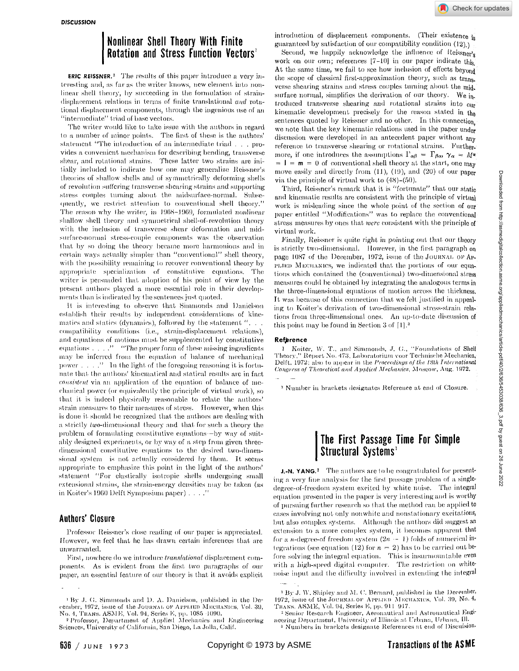# **Nonlinear Shell Theory With Finite Rotation and Stress Function Vectors<sup>1</sup>**

ERIC REISSNER.<sup>2</sup> The results of this paper introduce a very interesting and, as far as the writer knows, new element into nonlinear shell theory, by succeeding in the formulation of straindisplacement relations in terms of finite translational *and* rotational displacement components, through the ingenious use of an "intermediate" triad of base vectors.

The writer would like to take issue with the authors in regard to a number of minor points. The first of these is the authors' statement "The introduction of an intermediate triad . . . provides a convenient mechanism for describing bending, transverse shear, and rotational strains. These latter two strains are initially included to indicate how one may generalize Reissner's theories of shallow, shells and of symmetrically deforming shells of revolution suffering transverse shearing strains and supporting stress couples turning about the midsurface-normal. Subsequently, we restrict attention to conventional shell theory." The reason why the writer, in 1968-1969, formulated nonlinear shallow shell theory and symmetrical shell-of-revolution theory with the inclusion of transverse shear deformation and midsurface-normal stress-couple components was the observation that by so doing the theory became more harmonious and in certain ways actually simpler than "conventional" shell theory, with the possibility remaining to recover conventional theory by appropriate specialization of constitutive equations. The writer is persuaded that adoption of his point of view by the present authors played a more essential role in their developments than is indicated by the sentences just quoted.

It is interesting to observe that Simmonds and Danielson establish their results by independent considerations of kinematics and statics (dynamics), followed by the statement "... compatibility conditions (i.e., strain-displacement relations), and equations of motions must be supplemented by constitutive equations. . . ." "The proper form of these missing ingredients may be inferred from the equation of balance of mechanical power.  $\ldots$ ." In the light of the foregoing reasoning it is fortunate that the authors' kinematical and statical results are in fact *consistent* via an application of the equation of balance of mechanical power (or equivalently the principle of virtual work), so that it is indeed physically reasonable to relate the authors' strain measures to their measures of stress. However, when this is done it should be recognized that the authors are dealing with a strictly two-dimensional theory and that for such a theory the problem of formulating constitutive equations—by way of suitably designed experiments, or by way of a step from given threedimensional constitutive equations to the desired two-dimensional system—is not actually considered by them. It seems appropriate to emphasize this point in the light of the authors' statement "For elastically isotropic shells undergoing small extensional strains, the strain-energy densities may be taken (as in Koiter's 1960 Delft Symposium paper) . . . ."

### **Authors' Closure**

Professor Reissner's close reading of our paper is appreciated. However, we feel that he has drawn certain inferences that are unwarranted.

First, nowhere do we introduce *translational* displacement components. As is evident from the first two paragraphs of our paper, an essential feature of our theory is that it avoids explicit

Second, we happily acknowledge the influence of Reissner's work on our own; references  $[7-10]$  in our paper indicate this At the same time, we fail to see how inclusion of effects beyond the scope of classical first-approximation theory, such as trans. verse shearing strains and stress couples turning about the mid. surface normal, simplifies the derivation of our theory. We introduced transverse shearing and rotational strains into our kinematic development precisely for the reason stated in the sentences quoted by Reissner and no other. In this connection we note that the key kinematic relations used in the paper under discussion were developed in an antecedent paper without any reference to transverse shearing or rotational strains. Furthermore, if one introduces the assumptions  $\Gamma_{\alpha\beta} = \Gamma_{\beta\alpha}, \gamma_{\alpha} = M^{\alpha}$  $= 1 = m = 0$  of conventional shell theory at the start, one may move easily and directly from (11), (19), and (20) of our paper via the principle of virtual work to (48)-(50).

Third, Reissner's remark that it is "fortunate" that our static and kinematic results are consistent with the principle of virtual work is misleading since the whole point of the section of our paper entitled "Modifications" was to replace the conventional stress measures by ones that *were* consistent with the principle virtual work.

Finally, Reissner is quite right in pointing out that our theory is strictly two-dimensional. However, in the first paragraph on page 1087 of the December, 1972, issue of the JOURNAL OF AP-PLIED MECHANICS, we indicated that the portions of our equations which contained the (conventional) two-dimensional stress measures could be obtained by integrating the analogous terms the three-dimensional equations of motion across the thickne It was because of this connection that we felt justified in appealing to Koiter's derivation of two-dimensional stress-strain re tions from three-dimensional ones. An up-to-date discussion this point may be found in Section  $3$  of  $[1]$ .<sup>3</sup>

#### **Reference**

1 Koiter, W. T., and Simmonds, J. G., "Foundations of Shell Theory," Report No. 473, Laboratorium voor Technische Mechani Delft, 1972; also to appear in the *Proceedings of the 13th International Congress of Theoretical and Applied Mechanics,* Moscow, Aug. 1972,

3 Number in brackets designates Reference at end of Closure.

## **The First Passage Time For Simple Structural Systems<sup>1</sup>**

J.-N. YANG.<sup>2</sup> The authors are to be congratulated for present ing a very fine analysis for the first passage problem of a sing degree-of-freedom system excited by white noise. The integral equation presented in the paper is very interesting and is worthy of pursuing further research so that the method can be applied cases involving not only nonwhite and nonstationary excitations, but also complex systems. Although the authors did suggest extension to a more complex system, it becomes apparent that for a *n*-degree-of freedom system  $(2n - 1)$  folds of numerical integrations (see equation (12) for  $n = 2$ ) has to be carried out before solving the integral equation. This is insurmountable even with a high-speed digital computer. The restriction on whi noise input and the difficulty involved in extending the integral

<sup>&#</sup>x27; By J. G. Simmonds and D. A. Danielson, published in the December, 1972, issue of the JOURNAL OF APPLIED MECHANICS, Vol. 39, No. 4, TRANS. ASME, Vol. 94, Series E, pp. 1085-1090.<br><sup>2</sup> Professor, Department of Applied Mechanics and Engineering

Sciences, University of California, San Diego, La Jolla, Calif.

 $^{1}$  By J. W. Shipley and M. C. Bernard, published in the Decembe 1972, issue of the JOURNAL OF APPLIED MECHANICS, Vol. 39, No. 4, TRANS. ASME, Vol. 94, Series E, pp. 911-917.

<sup>2</sup> Senior Research Engineer, Aeronautical and Astronautical En neering Department, University of Illinois at Urbana, Urbana, 111- <sup>3</sup> Numbers in brackets designate References at end of Discuisio